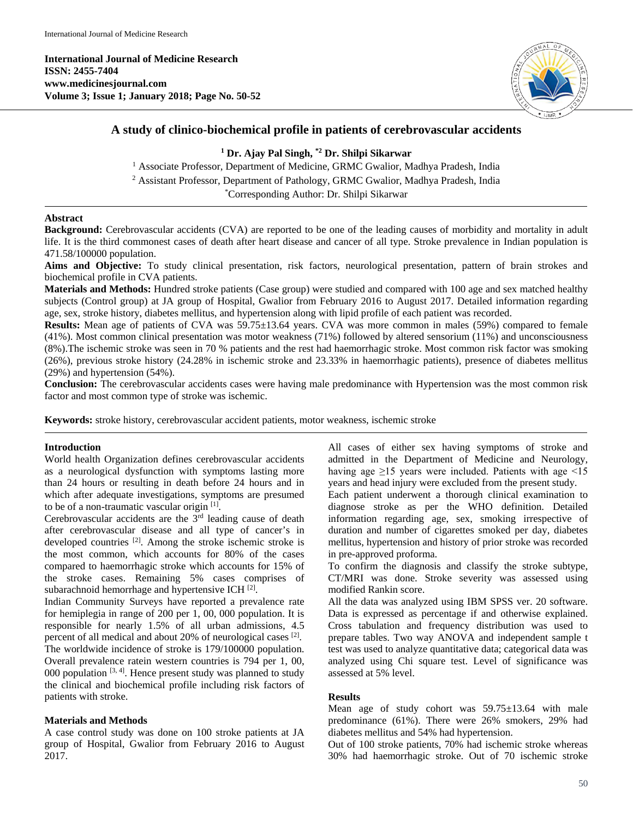**International Journal of Medicine Research ISSN: 2455-7404 www.medicinesjournal.com Volume 3; Issue 1; January 2018; Page No. 50-52**



## **A study of clinico-biochemical profile in patients of cerebrovascular accidents**

# **<sup>1</sup> Dr. Ajay Pal Singh, \*2 Dr. Shilpi Sikarwar**

<sup>1</sup> Associate Professor, Department of Medicine, GRMC Gwalior, Madhya Pradesh, India

<sup>2</sup> Assistant Professor, Department of Pathology, GRMC Gwalior, Madhya Pradesh, India

\* Corresponding Author: Dr. Shilpi Sikarwar

#### **Abstract**

Background: Cerebrovascular accidents (CVA) are reported to be one of the leading causes of morbidity and mortality in adult life. It is the third commonest cases of death after heart disease and cancer of all type. Stroke prevalence in Indian population is 471.58/100000 population.

**Aims and Objective:** To study clinical presentation, risk factors, neurological presentation, pattern of brain strokes and biochemical profile in CVA patients.

**Materials and Methods:** Hundred stroke patients (Case group) were studied and compared with 100 age and sex matched healthy subjects (Control group) at JA group of Hospital, Gwalior from February 2016 to August 2017. Detailed information regarding age, sex, stroke history, diabetes mellitus, and hypertension along with lipid profile of each patient was recorded.

**Results:** Mean age of patients of CVA was 59.75±13.64 years. CVA was more common in males (59%) compared to female (41%). Most common clinical presentation was motor weakness (71%) followed by altered sensorium (11%) and unconsciousness (8%).The ischemic stroke was seen in 70 % patients and the rest had haemorrhagic stroke. Most common risk factor was smoking (26%), previous stroke history (24.28% in ischemic stroke and 23.33% in haemorrhagic patients), presence of diabetes mellitus (29%) and hypertension (54%).

**Conclusion:** The cerebrovascular accidents cases were having male predominance with Hypertension was the most common risk factor and most common type of stroke was ischemic.

**Keywords:** stroke history, cerebrovascular accident patients, motor weakness, ischemic stroke

### **Introduction**

World health Organization defines cerebrovascular accidents as a neurological dysfunction with symptoms lasting more than 24 hours or resulting in death before 24 hours and in which after adequate investigations, symptoms are presumed to be of a non-traumatic vascular origin [1] .

Cerebrovascular accidents are the  $3<sup>rd</sup>$  leading cause of death after cerebrovascular disease and all type of cancer's in developed countries <sup>[2]</sup>. Among the stroke ischemic stroke is the most common, which accounts for 80% of the cases compared to haemorrhagic stroke which accounts for 15% of the stroke cases. Remaining 5% cases comprises of subarachnoid hemorrhage and hypertensive ICH $^{[2]}$ .

Indian Community Surveys have reported a prevalence rate for hemiplegia in range of 200 per 1, 00, 000 population. It is responsible for nearly 1.5% of all urban admissions, 4.5 percent of all medical and about 20% of neurological cases [2]. The worldwide incidence of stroke is 179/100000 population. Overall prevalence ratein western countries is 794 per 1, 00, 000 population  $[3, 4]$ . Hence present study was planned to study the clinical and biochemical profile including risk factors of patients with stroke.

### **Materials and Methods**

A case control study was done on 100 stroke patients at JA group of Hospital, Gwalior from February 2016 to August 2017.

All cases of either sex having symptoms of stroke and admitted in the Department of Medicine and Neurology, having age  $\geq$ 15 years were included. Patients with age <15 years and head injury were excluded from the present study.

Each patient underwent a thorough clinical examination to diagnose stroke as per the WHO definition. Detailed information regarding age, sex, smoking irrespective of duration and number of cigarettes smoked per day, diabetes mellitus, hypertension and history of prior stroke was recorded in pre-approved proforma.

To confirm the diagnosis and classify the stroke subtype, CT/MRI was done. Stroke severity was assessed using modified Rankin score.

All the data was analyzed using IBM SPSS ver. 20 software. Data is expressed as percentage if and otherwise explained. Cross tabulation and frequency distribution was used to prepare tables. Two way ANOVA and independent sample t test was used to analyze quantitative data; categorical data was analyzed using Chi square test. Level of significance was assessed at 5% level.

#### **Results**

Mean age of study cohort was 59.75±13.64 with male predominance (61%). There were 26% smokers, 29% had diabetes mellitus and 54% had hypertension.

Out of 100 stroke patients, 70% had ischemic stroke whereas 30% had haemorrhagic stroke. Out of 70 ischemic stroke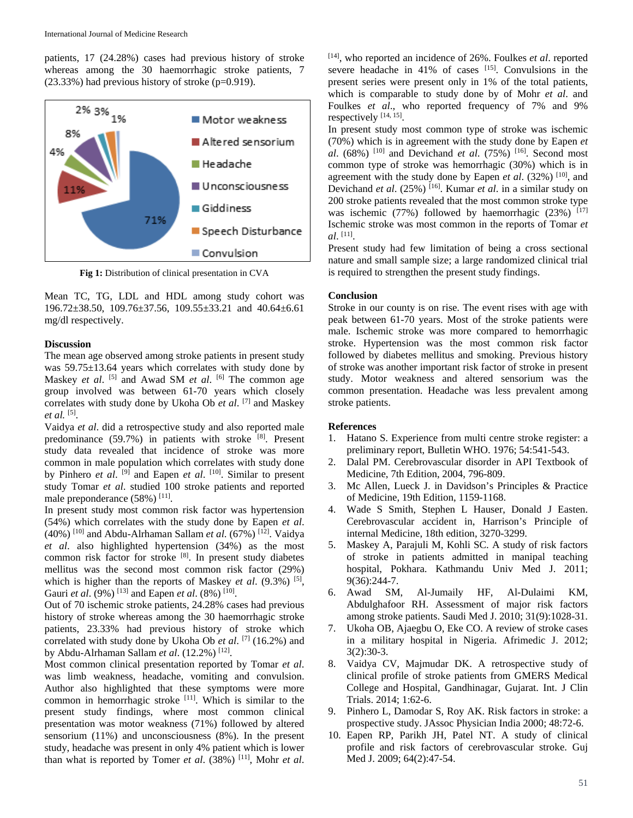patients, 17 (24.28%) cases had previous history of stroke whereas among the 30 haemorrhagic stroke patients, 7  $(23.33%)$  had previous history of stroke (p=0.919).



**Fig 1:** Distribution of clinical presentation in CVA

Mean TC, TG, LDL and HDL among study cohort was 196.72±38.50, 109.76±37.56, 109.55±33.21 and 40.64±6.61 mg/dl respectively.

#### **Discussion**

The mean age observed among stroke patients in present study was 59.75±13.64 years which correlates with study done by Maskey *et al.* <sup>[5]</sup> and Awad SM *et al.* <sup>[6]</sup> The common age group involved was between 61-70 years which closely correlates with study done by Ukoha Ob *et al*. [7] and Maskey *et al.* [5] .

Vaidya *et al*. did a retrospective study and also reported male predominance (59.7%) in patients with stroke [8]. Present study data revealed that incidence of stroke was more common in male population which correlates with study done by Pinhero *et al.* <sup>[9]</sup> and Eapen *et al.* <sup>[10]</sup>. Similar to present study Tomar *et al*. studied 100 stroke patients and reported male preponderance (58%) [11].

In present study most common risk factor was hypertension (54%) which correlates with the study done by Eapen *et al*. (40%) [10] and Abdu-Alrhaman Sallam *et al*. (67%) [12] . Vaidya *et al*. also highlighted hypertension (34%) as the most common risk factor for stroke [8]. In present study diabetes mellitus was the second most common risk factor (29%) which is higher than the reports of Maskey *et al.* (9.3%) <sup>[5]</sup>, Gauri *et al.* (9%) <sup>[13]</sup> and Eapen *et al.* (8%) <sup>[10]</sup>.

Out of 70 ischemic stroke patients, 24.28% cases had previous history of stroke whereas among the 30 haemorrhagic stroke patients, 23.33% had previous history of stroke which correlated with study done by Ukoha Ob *et al*. [7] (16.2%) and by Abdu-Alrhaman Sallam et al. (12.2%)<sup>[12]</sup>.

Most common clinical presentation reported by Tomar *et al*. was limb weakness, headache, vomiting and convulsion. Author also highlighted that these symptoms were more common in hemorrhagic stroke  $[11]$ . Which is similar to the present study findings, where most common clinical presentation was motor weakness (71%) followed by altered sensorium (11%) and unconsciousness (8%). In the present study, headache was present in only 4% patient which is lower than what is reported by Tomer *et al*. (38%) [11] , Mohr *et al*.

[14] , who reported an incidence of 26%. Foulkes *et al*. reported severe headache in  $41\%$  of cases  $^{[15]}$ . Convulsions in the present series were present only in 1% of the total patients, which is comparable to study done by of Mohr *et al*. and Foulkes *et al*., who reported frequency of 7% and 9% respectively [14, 15].

In present study most common type of stroke was ischemic (70%) which is in agreement with the study done by Eapen *et al.* (68%) <sup>[10]</sup> and Devichand *et al.* (75%) <sup>[16]</sup>. Second most common type of stroke was hemorrhagic (30%) which is in agreement with the study done by Eapen *et al.* (32%) <sup>[10]</sup>, and Devichand *et al*. (25%) [16] . Kumar *et al*. in a similar study on 200 stroke patients revealed that the most common stroke type was ischemic (77%) followed by haemorrhagic (23%)  $[17]$ Ischemic stroke was most common in the reports of Tomar *et al*. [11] .

Present study had few limitation of being a cross sectional nature and small sample size; a large randomized clinical trial is required to strengthen the present study findings.

### **Conclusion**

Stroke in our county is on rise. The event rises with age with peak between 61-70 years. Most of the stroke patients were male. Ischemic stroke was more compared to hemorrhagic stroke. Hypertension was the most common risk factor followed by diabetes mellitus and smoking. Previous history of stroke was another important risk factor of stroke in present study. Motor weakness and altered sensorium was the common presentation. Headache was less prevalent among stroke patients.

### **References**

- 1. Hatano S. Experience from multi centre stroke register: a preliminary report, Bulletin WHO. 1976; 54:541-543.
- 2. Dalal PM. Cerebrovascular disorder in API Textbook of Medicine, 7th Edition, 2004, 796-809.
- 3. Mc Allen, Lueck J. in Davidson's Principles & Practice of Medicine, 19th Edition, 1159-1168.
- 4. Wade S Smith, Stephen L Hauser, Donald J Easten. Cerebrovascular accident in, Harrison's Principle of internal Medicine, 18th edition, 3270-3299.
- 5. Maskey A, Parajuli M, Kohli SC. A study of risk factors of stroke in patients admitted in manipal teaching hospital, Pokhara. Kathmandu Univ Med J. 2011; 9(36):244-7.
- 6. Awad SM, Al-Jumaily HF, Al-Dulaimi KM, Abdulghafoor RH. Assessment of major risk factors among stroke patients. Saudi Med J. 2010; 31(9):1028-31.
- 7. Ukoha OB, Ajaegbu O, Eke CO. A review of stroke cases in a military hospital in Nigeria. Afrimedic J. 2012; 3(2):30-3.
- 8. Vaidya CV, Majmudar DK. A retrospective study of clinical profile of stroke patients from GMERS Medical College and Hospital, Gandhinagar, Gujarat. Int. J Clin Trials. 2014; 1:62-6.
- 9. Pinhero L, Damodar S, Roy AK. Risk factors in stroke: a prospective study. JAssoc Physician India 2000; 48:72-6.
- 10. Eapen RP, Parikh JH, Patel NT. A study of clinical profile and risk factors of cerebrovascular stroke. Guj Med J. 2009; 64(2):47-54.